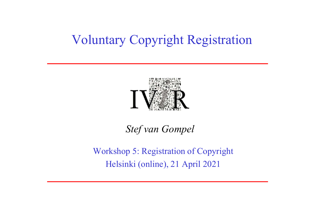### Voluntary Copyright Registration



#### Stef van Gompel

Workshop 5: Registration of Copyright Helsinki (online), 21 April 2021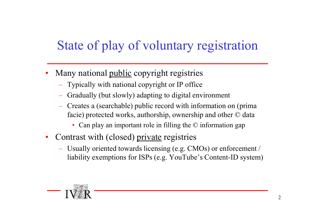# State of play of voluntary registration • Many national public copyright registries<br>
• Many national <u>public</u> copyright registries<br>
– Typically with national copyright or IP office<br>
– Gradually (but slowly) adapting to digital environment

- -
	-
	- Creates a (searchable) public record with information on (prima facie) protected works, authorship, ownership and other © data
		- Can play an important role in filling the © information gap
- 
- Many national <u>public</u> copyright registries<br>
 Typically with national copyright registries<br>
 Typically (but slowly) adapting to digital environment<br>
 Creates a (searchable) public record with information on (prima<br>
f liability exemptions for ISPs (e.g. YouTube's Content-ID system)

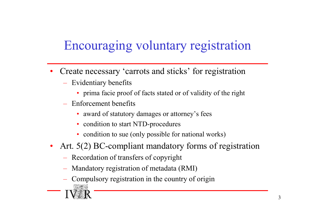### Encouraging voluntary registration

- Create necessary 'carrots and sticks' for registration
	- Evidentiary benefits
		- prima facie proof of facts stated or of validity of the right
	- Enforcement benefits
		- award of statutory damages or attorney's fees
		- condition to start NTD-procedures
		- condition to sue (only possible for national works)
- Art. 5(2) BC-compliant mandatory forms of registration
	- Recordation of transfers of copyright
	- Mandatory registration of metadata (RMI)
	- Compulsory registration in the country of origin